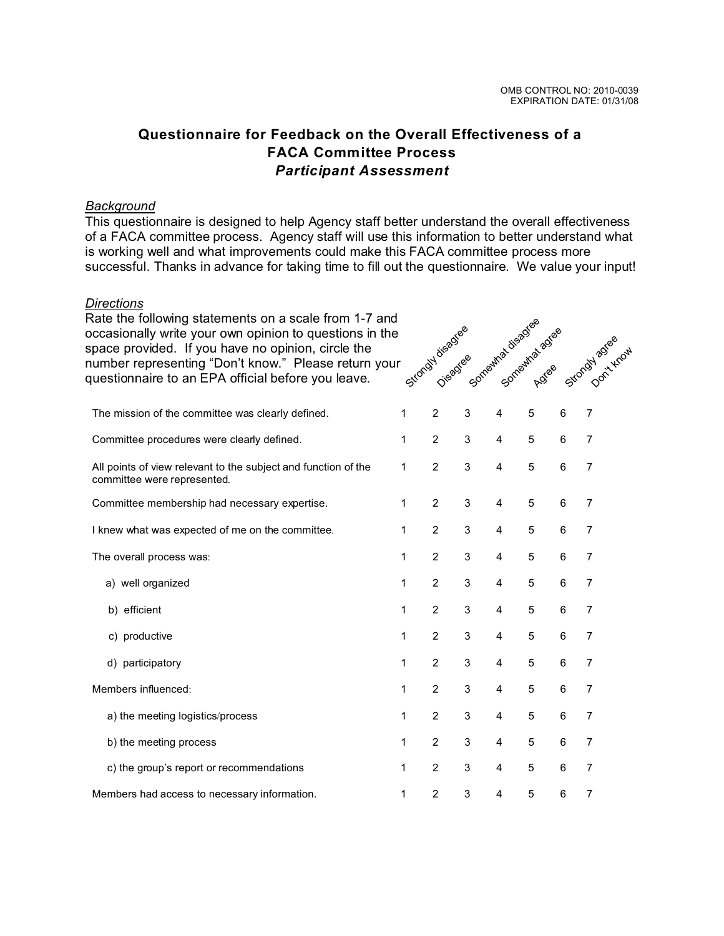## **Questionnaire for Feedback on the Overall Effectiveness of a FACA Committee Process** *Participant Assessment*

## *Background*

This questionnaire is designed to help Agency staff better understand the overall effectiveness of a FACA committee process. Agency staff will use this information to better understand what is working well and what improvements could make this FACA committee process more successful. Thanks in advance for taking time to fill out the questionnaire. We value your input!

## *Directions*

| Rate the following statements on a scale from 1-7 and<br>occasionally write your own opinion to questions in the<br>space provided. If you have no opinion, circle the<br>number representing "Don't know." Please return your<br>questionnaire to an EPA official before you leave. |   | Strondy disadree<br>Disadree |   | Somewhat disadree       | Somewhat advee |   | Strongyl agree |  |
|--------------------------------------------------------------------------------------------------------------------------------------------------------------------------------------------------------------------------------------------------------------------------------------|---|------------------------------|---|-------------------------|----------------|---|----------------|--|
| The mission of the committee was clearly defined.                                                                                                                                                                                                                                    | 1 | $\overline{c}$               | 3 | $\overline{4}$          | 5              | 6 | $\overline{7}$ |  |
| Committee procedures were clearly defined.                                                                                                                                                                                                                                           | 1 | 2                            | 3 | $\overline{4}$          | 5              | 6 | $\overline{7}$ |  |
| All points of view relevant to the subject and function of the<br>committee were represented.                                                                                                                                                                                        | 1 | 2                            | 3 | $\overline{4}$          | 5              | 6 | $\overline{7}$ |  |
| Committee membership had necessary expertise.                                                                                                                                                                                                                                        | 1 | $\overline{c}$               | 3 | $\overline{\mathbf{4}}$ | 5              | 6 | $\overline{7}$ |  |
| I knew what was expected of me on the committee.                                                                                                                                                                                                                                     | 1 | $\overline{2}$               | 3 | $\overline{\mathbf{4}}$ | 5              | 6 | 7              |  |
| The overall process was:                                                                                                                                                                                                                                                             | 1 | $\overline{2}$               | 3 | $\overline{4}$          | 5              | 6 | $\overline{7}$ |  |
| a) well organized                                                                                                                                                                                                                                                                    | 1 | $\overline{2}$               | 3 | $\overline{4}$          | 5              | 6 | $\overline{7}$ |  |
| b) efficient                                                                                                                                                                                                                                                                         | 1 | $\overline{2}$               | 3 | $\overline{4}$          | 5              | 6 | $\overline{7}$ |  |
| c) productive                                                                                                                                                                                                                                                                        | 1 | $\overline{2}$               | 3 | $\overline{4}$          | 5              | 6 | $\overline{7}$ |  |
| d) participatory                                                                                                                                                                                                                                                                     | 1 | $\overline{c}$               | 3 | $\overline{\mathbf{4}}$ | 5              | 6 | $\overline{7}$ |  |
| Members influenced:                                                                                                                                                                                                                                                                  | 1 | $\overline{2}$               | 3 | $\overline{\mathbf{4}}$ | 5              | 6 | $\overline{7}$ |  |
| a) the meeting logistics/process                                                                                                                                                                                                                                                     | 1 | $\overline{2}$               | 3 | $\overline{4}$          | 5              | 6 | 7              |  |
| b) the meeting process                                                                                                                                                                                                                                                               | 1 | $\overline{c}$               | 3 | 4                       | 5              | 6 | 7              |  |
| c) the group's report or recommendations                                                                                                                                                                                                                                             | 1 | 2                            | 3 | 4                       | 5              | 6 | 7              |  |
| Members had access to necessary information.                                                                                                                                                                                                                                         | 1 | $\overline{c}$               | 3 | 4                       | 5              | 6 | $\overline{7}$ |  |
|                                                                                                                                                                                                                                                                                      |   |                              |   |                         |                |   |                |  |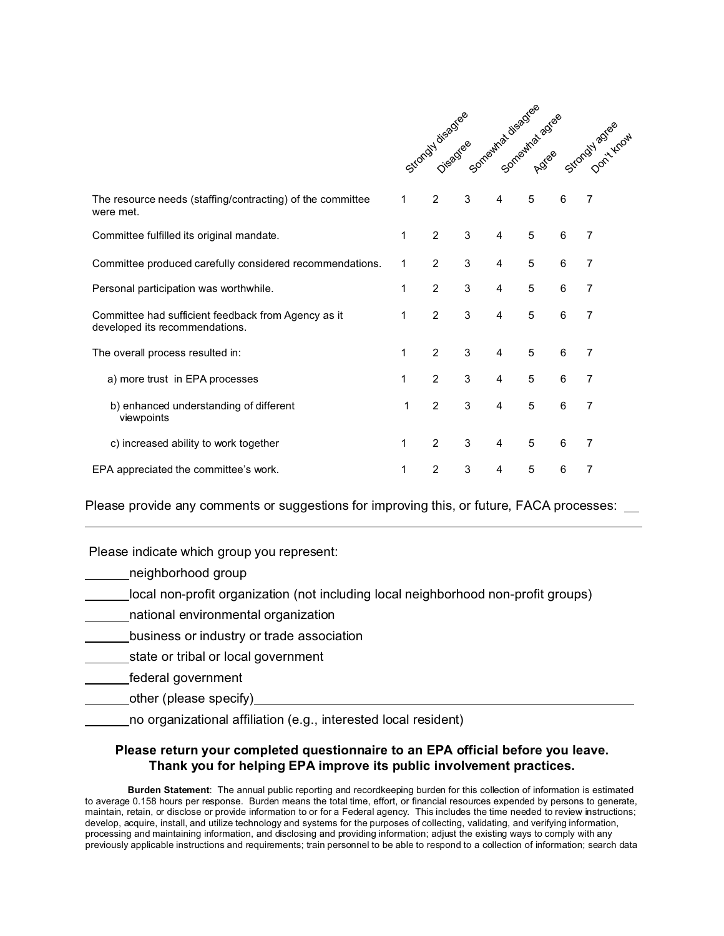|                                                                                       |   |                | Strondy disadvee |                | Somewhat disadres agree |   | Strongy Astee  |
|---------------------------------------------------------------------------------------|---|----------------|------------------|----------------|-------------------------|---|----------------|
| The resource needs (staffing/contracting) of the committee<br>were met.               | 1 | 2              | 3                | $\overline{4}$ | 5                       | 6 | 7              |
| Committee fulfilled its original mandate.                                             | 1 | $\overline{2}$ | 3                | 4              | 5                       | 6 | 7              |
| Committee produced carefully considered recommendations.                              | 1 | $\overline{2}$ | 3                | 4              | 5                       | 6 | 7              |
| Personal participation was worthwhile.                                                | 1 | 2              | 3                | $\overline{4}$ | 5                       | 6 | 7              |
| Committee had sufficient feedback from Agency as it<br>developed its recommendations. | 1 | $\overline{2}$ | 3                | 4              | 5                       | 6 | 7              |
| The overall process resulted in:                                                      | 1 | $\overline{2}$ | 3                | 4              | 5                       | 6 | 7              |
| a) more trust in EPA processes                                                        | 1 | $\mathcal{P}$  | 3                | $\overline{4}$ | 5                       | 6 | 7              |
| b) enhanced understanding of different<br>viewpoints                                  | 1 | $\overline{2}$ | 3                | $\overline{4}$ | 5                       | 6 | $\overline{7}$ |
| c) increased ability to work together                                                 | 1 | $\overline{2}$ | 3                | 4              | 5                       | 6 | 7              |
| EPA appreciated the committee's work.                                                 | 1 | $\overline{2}$ | 3                | 4              | $\overline{5}$          | 6 | 7              |

Please provide any comments or suggestions for improving this, or future, FACA processes: \_\_

Please indicate which group you represent:

neighborhood group

 $\overline{a}$ 

local non-profit organization (not including local neighborhood non-profit groups)

national environmental organization

business or industry or trade association

state or tribal or local government

federal government

other (please specify)

no organizational affiliation (e.g., interested local resident)

## **Please return your completed questionnaire to an EPA official before you leave. Thank you for helping EPA improve its public involvement practices.**

**Burden Statement**: The annual public reporting and recordkeeping burden for this collection of information is estimated to average 0.158 hours per response. Burden means the total time, effort, or financial resources expended by persons to generate, maintain, retain, or disclose or provide information to or for a Federal agency. This includes the time needed to review instructions; develop, acquire, install, and utilize technology and systems for the purposes of collecting, validating, and verifying information, processing and maintaining information, and disclosing and providing information; adjust the existing ways to comply with any previously applicable instructions and requirements; train personnel to be able to respond to a collection of information; search data